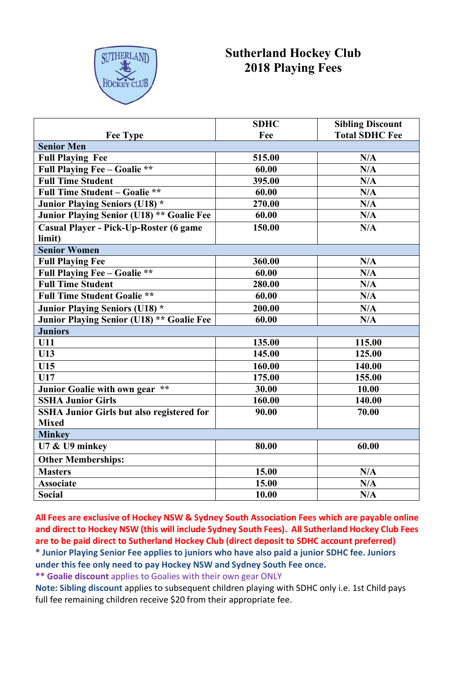

## **Sutherland Hockey Club 2018 Playing Fees**

|                                                  | <b>SDHC</b> | <b>Sibling Discount</b> |  |  |  |  |  |  |
|--------------------------------------------------|-------------|-------------------------|--|--|--|--|--|--|
| <b>Fee Type</b>                                  | Fee         | <b>Total SDHC Fee</b>   |  |  |  |  |  |  |
| <b>Senior Men</b>                                |             |                         |  |  |  |  |  |  |
| <b>Full Playing Fee</b>                          | 515.00      | N/A                     |  |  |  |  |  |  |
| <b>Full Playing Fee - Goalie **</b>              | 60.00       | N/A                     |  |  |  |  |  |  |
| <b>Full Time Student</b>                         | 395.00      | N/A                     |  |  |  |  |  |  |
| <b>Full Time Student - Goalie **</b>             | 60.00       | N/A                     |  |  |  |  |  |  |
| <b>Junior Playing Seniors (U18) *</b>            | 270.00      | N/A                     |  |  |  |  |  |  |
| Junior Playing Senior (U18) ** Goalie Fee        | 60.00       | N/A                     |  |  |  |  |  |  |
| Casual Player - Pick-Up-Roster (6 game           | 150.00      | N/A                     |  |  |  |  |  |  |
| limit)                                           |             |                         |  |  |  |  |  |  |
| <b>Senior Women</b>                              |             |                         |  |  |  |  |  |  |
| <b>Full Playing Fee</b>                          | 360.00      | N/A                     |  |  |  |  |  |  |
| <b>Full Playing Fee - Goalie **</b>              | 60.00       | N/A                     |  |  |  |  |  |  |
| <b>Full Time Student</b>                         | 280.00      | N/A                     |  |  |  |  |  |  |
| <b>Full Time Student Goalie **</b>               | 60.00       | N/A                     |  |  |  |  |  |  |
| <b>Junior Playing Seniors (U18) *</b>            | 200.00      | N/A                     |  |  |  |  |  |  |
| Junior Playing Senior (U18) ** Goalie Fee        | 60.00       | N/A                     |  |  |  |  |  |  |
| <b>Juniors</b>                                   |             |                         |  |  |  |  |  |  |
| <b>U11</b>                                       | 135.00      | 115.00                  |  |  |  |  |  |  |
| U13                                              | 145.00      | 125.00                  |  |  |  |  |  |  |
| U15                                              | 160.00      | 140.00                  |  |  |  |  |  |  |
| U17                                              | 175.00      | 155.00                  |  |  |  |  |  |  |
| Junior Goalie with own gear **                   | 30.00       | 10.00                   |  |  |  |  |  |  |
| <b>SSHA Junior Girls</b>                         | 160.00      | 140.00                  |  |  |  |  |  |  |
| <b>SSHA Junior Girls but also registered for</b> | 90.00       | 70.00                   |  |  |  |  |  |  |
| <b>Mixed</b>                                     |             |                         |  |  |  |  |  |  |
| <b>Minkey</b>                                    |             |                         |  |  |  |  |  |  |
| U7 & U9 minkey                                   | 80.00       | 60.00                   |  |  |  |  |  |  |
| <b>Other Memberships:</b>                        |             |                         |  |  |  |  |  |  |
| <b>Masters</b>                                   | 15.00       | N/A                     |  |  |  |  |  |  |
| <b>Associate</b>                                 | 15.00       | N/A                     |  |  |  |  |  |  |
| <b>Social</b>                                    | 10.00       | N/A                     |  |  |  |  |  |  |

**All Fees are exclusive of Hockey NSW & Sydney South Association Fees which are payable online and direct to Hockey NSW (this will include Sydney South Fees). All Sutherland Hockey Club Fees are to be paid direct to Sutherland Hockey Club (direct deposit to SDHC account preferred)**

**\* Junior Playing Senior Fee applies to juniors who have also paid a junior SDHC fee. Juniors under this fee only need to pay Hockey NSW and Sydney South Fee once.**

**\*\* Goalie discount** applies to Goalies with their own gear ONLY

**Note: Sibling discount** applies to subsequent children playing with SDHC only i.e. 1st Child pays full fee remaining children receive \$20 from their appropriate fee.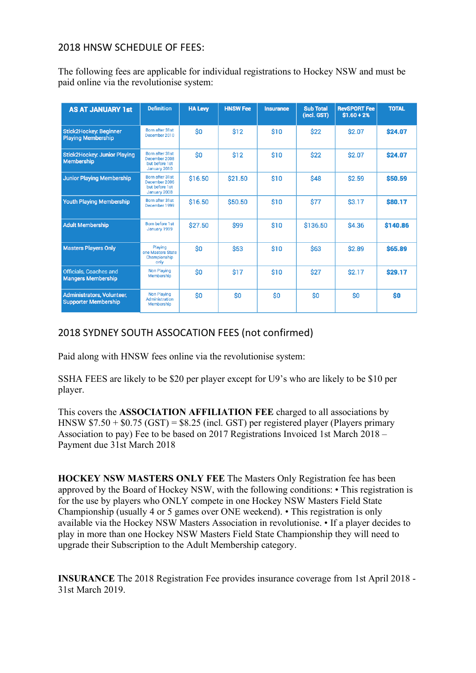## 2018 HNSW SCHEDULE OF FEES:

The following fees are applicable for individual registrations to Hockey NSW and must be paid online via the revolutionise system:

| <b>AS AT JANUARY 1st</b>                                   | <b>Definition</b>                                                  | <b>HA Levy</b> | <b>HNSW Fee</b> | <b>Insurance</b> | <b>Sub Total</b><br>(incl. GST) | <b>RevSPORT Fee</b><br>$$1.60 + 2%$ | <b>TOTAL</b>   |
|------------------------------------------------------------|--------------------------------------------------------------------|----------------|-----------------|------------------|---------------------------------|-------------------------------------|----------------|
| <b>Stick2Hockey: Beginner</b><br><b>Playing Membership</b> | Born after 31st<br>December 2010                                   | \$0            | \$12            | \$10             | \$22                            | \$2.07                              | \$24.07        |
| <b>Stick2Hockey: Junior Playing</b><br><b>Membership</b>   | Born after 31st<br>December 2008<br>but before 1st<br>January 2010 | Ś0             | \$12            | \$10             | \$22                            | \$2.07                              | \$24.07        |
| <b>Junior Playing Membership</b>                           | Born after 31st<br>December 2006<br>but before 1st<br>January 2008 | \$16.50        | \$21.50         | \$10             | <b>\$48</b>                     | \$2.59                              | \$50.59        |
| Youth Playing Membership                                   | Born after 31st<br>December 1999                                   | \$16.50        | \$50.50         | \$10             | \$77                            | \$3.17                              | <b>\$80.17</b> |
| <b>Adult Membership</b>                                    | Born before 1 st<br>January 1999                                   | \$27.50        | \$99            | \$10             | \$136.50                        | \$4.36                              | \$140.86       |
| <b>Masters Players Only</b>                                | Playing<br>one Masters State<br>Championship<br>only               | \$0            | <b>\$53</b>     | \$10             | \$63                            | \$2.89                              | \$65.89        |
| <b>Officials, Coaches and</b><br><b>Mangers Membership</b> | <b>Non Playing</b><br>Membership                                   | \$0            | \$17            | \$10             | <b>\$27</b>                     | \$2.17                              | \$29.17        |
| Administrators, Volunteer,<br><b>Supporter Membership</b>  | <b>Non Playing</b><br>Administration<br>Membership                 | \$0            | \$O             | \$O              | \$0                             | \$0                                 | \$0            |

## 2018 SYDNEY SOUTH ASSOCATION FEES (not confirmed)

Paid along with HNSW fees online via the revolutionise system:

SSHA FEES are likely to be \$20 per player except for U9's who are likely to be \$10 per player.

This covers the **ASSOCIATION AFFILIATION FEE** charged to all associations by HNSW \$7.50 + \$0.75 (GST) = \$8.25 (incl. GST) per registered player (Players primary Association to pay) Fee to be based on 2017 Registrations Invoiced 1st March 2018 – Payment due 31st March 2018

**HOCKEY NSW MASTERS ONLY FEE** The Masters Only Registration fee has been approved by the Board of Hockey NSW, with the following conditions: • This registration is for the use by players who ONLY compete in one Hockey NSW Masters Field State Championship (usually 4 or 5 games over ONE weekend). • This registration is only available via the Hockey NSW Masters Association in revolutionise. • If a player decides to play in more than one Hockey NSW Masters Field State Championship they will need to upgrade their Subscription to the Adult Membership category.

**INSURANCE** The 2018 Registration Fee provides insurance coverage from 1st April 2018 - 31st March 2019.